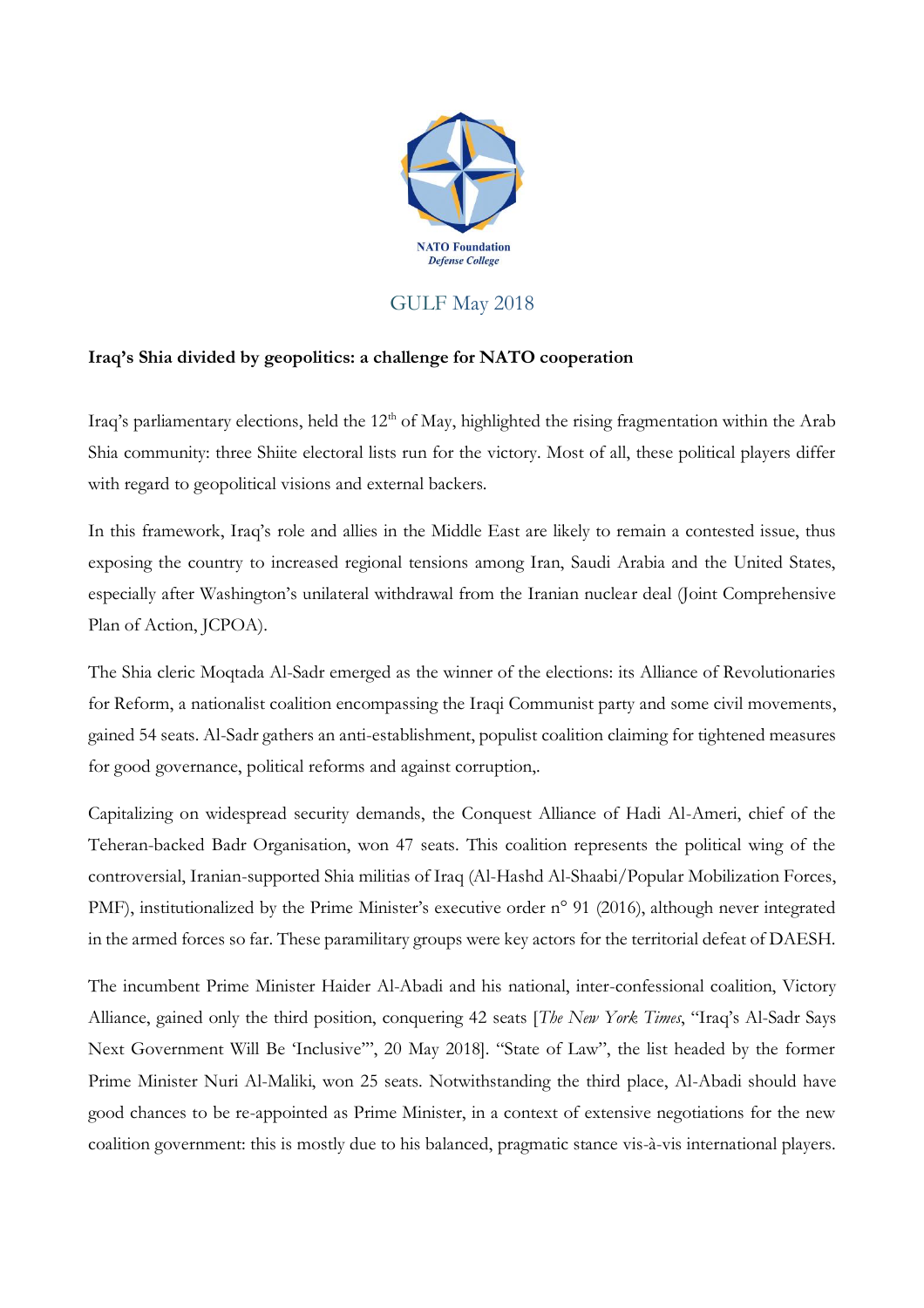

## GULF May 2018

## **Iraq's Shia divided by geopolitics: a challenge for NATO cooperation**

Iraq's parliamentary elections, held the  $12<sup>th</sup>$  of May, highlighted the rising fragmentation within the Arab Shia community: three Shiite electoral lists run for the victory. Most of all, these political players differ with regard to geopolitical visions and external backers.

In this framework, Iraq's role and allies in the Middle East are likely to remain a contested issue, thus exposing the country to increased regional tensions among Iran, Saudi Arabia and the United States, especially after Washington's unilateral withdrawal from the Iranian nuclear deal (Joint Comprehensive Plan of Action, JCPOA).

The Shia cleric Moqtada Al-Sadr emerged as the winner of the elections: its Alliance of Revolutionaries for Reform, a nationalist coalition encompassing the Iraqi Communist party and some civil movements, gained 54 seats. Al-Sadr gathers an anti-establishment, populist coalition claiming for tightened measures for good governance, political reforms and against corruption,.

Capitalizing on widespread security demands, the Conquest Alliance of Hadi Al-Ameri, chief of the Teheran-backed Badr Organisation, won 47 seats. This coalition represents the political wing of the controversial, Iranian-supported Shia militias of Iraq (Al-Hashd Al-Shaabi/Popular Mobilization Forces, PMF), institutionalized by the Prime Minister's executive order n° 91 (2016), although never integrated in the armed forces so far. These paramilitary groups were key actors for the territorial defeat of DAESH.

The incumbent Prime Minister Haider Al-Abadi and his national, inter-confessional coalition, Victory Alliance, gained only the third position, conquering 42 seats [*The New York Times*, "Iraq's Al-Sadr Says Next Government Will Be 'Inclusive'", 20 May 2018]. "State of Law", the list headed by the former Prime Minister Nuri Al-Maliki, won 25 seats. Notwithstanding the third place, Al-Abadi should have good chances to be re-appointed as Prime Minister, in a context of extensive negotiations for the new coalition government: this is mostly due to his balanced, pragmatic stance vis-à-vis international players.